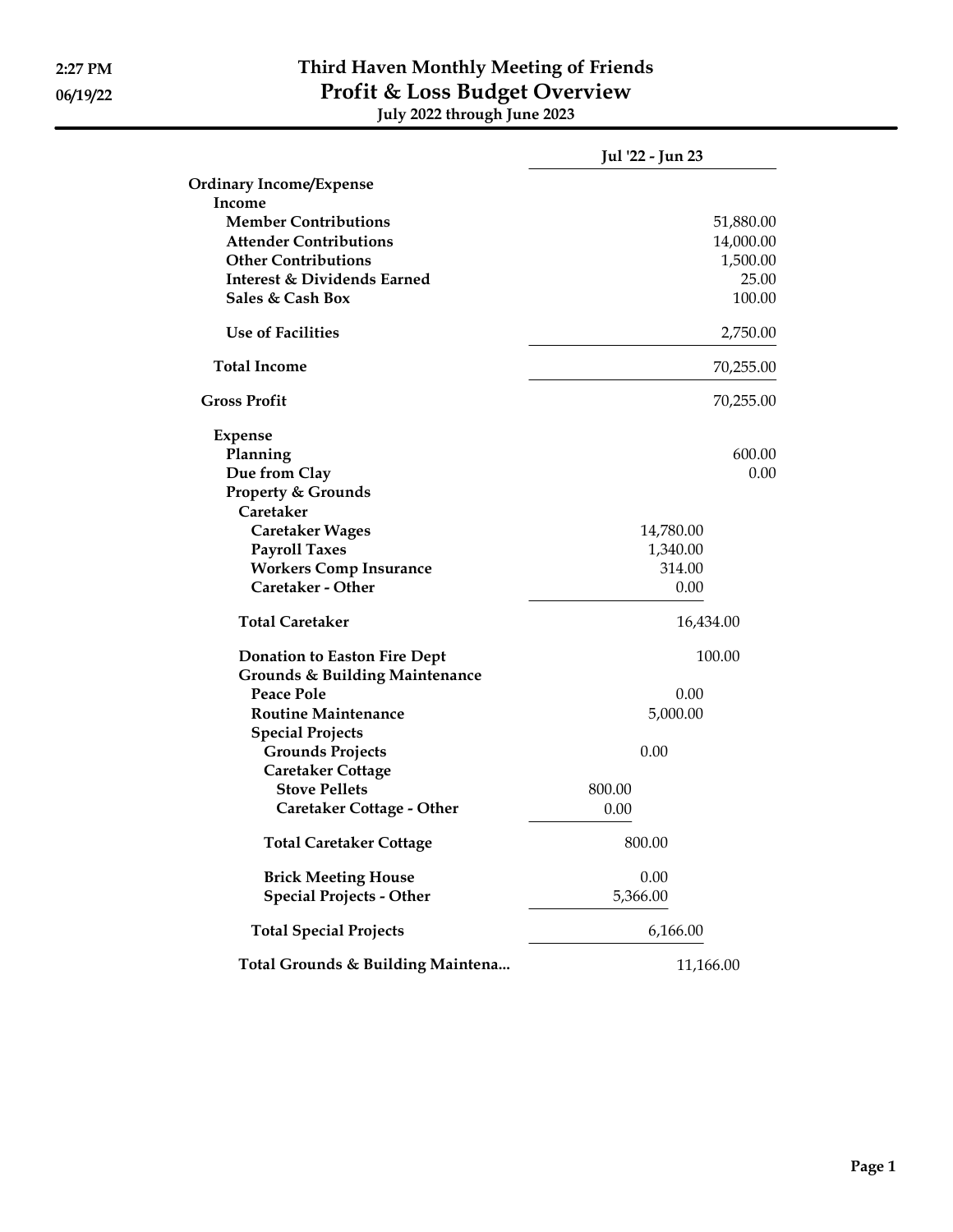|                                           | Jul '22 - Jun 23 |           |
|-------------------------------------------|------------------|-----------|
| <b>Ordinary Income/Expense</b>            |                  |           |
| Income                                    |                  |           |
| <b>Member Contributions</b>               |                  | 51,880.00 |
| <b>Attender Contributions</b>             |                  | 14,000.00 |
| <b>Other Contributions</b>                |                  | 1,500.00  |
| <b>Interest &amp; Dividends Earned</b>    |                  | 25.00     |
| Sales & Cash Box                          |                  | 100.00    |
| <b>Use of Facilities</b>                  | 2,750.00         |           |
| <b>Total Income</b>                       | 70,255.00        |           |
| <b>Gross Profit</b>                       | 70,255.00        |           |
| <b>Expense</b>                            |                  |           |
| Planning                                  |                  | 600.00    |
| Due from Clay                             |                  | 0.00      |
| <b>Property &amp; Grounds</b>             |                  |           |
| Caretaker                                 |                  |           |
| <b>Caretaker Wages</b>                    | 14,780.00        |           |
| <b>Payroll Taxes</b>                      | 1,340.00         |           |
| <b>Workers Comp Insurance</b>             | 314.00           |           |
| Caretaker - Other                         | 0.00             |           |
| <b>Total Caretaker</b>                    | 16,434.00        |           |
| <b>Donation to Easton Fire Dept</b>       | 100.00           |           |
| <b>Grounds &amp; Building Maintenance</b> |                  |           |
| <b>Peace Pole</b>                         | 0.00             |           |
| <b>Routine Maintenance</b>                | 5,000.00         |           |
| <b>Special Projects</b>                   |                  |           |
| <b>Grounds Projects</b>                   | 0.00             |           |
| <b>Caretaker Cottage</b>                  |                  |           |
| <b>Stove Pellets</b>                      | 800.00           |           |
| <b>Caretaker Cottage - Other</b>          | 0.00             |           |
| <b>Total Caretaker Cottage</b>            | 800.00           |           |
| <b>Brick Meeting House</b>                | 0.00             |           |
| <b>Special Projects - Other</b>           | 5,366.00         |           |
| <b>Total Special Projects</b>             | 6,166.00         |           |
| Total Grounds & Building Maintena         | 11,166.00        |           |